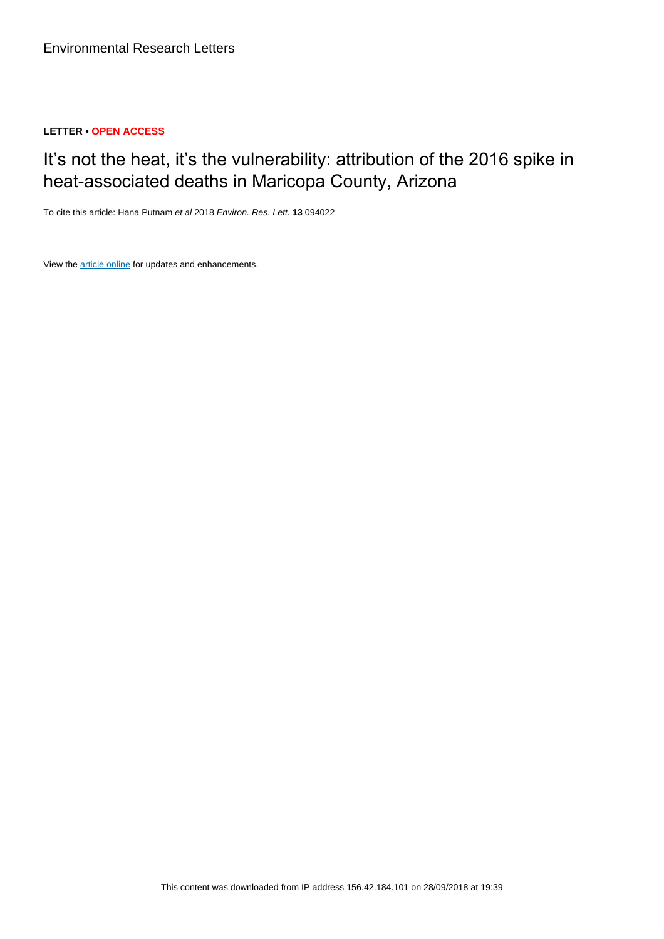# **LETTER • OPEN ACCESS**

# It's not the heat, it's the vulnerability: attribution of the 2016 spike in heat-associated deaths in Maricopa County, Arizona

To cite this article: Hana Putnam et al 2018 Environ. Res. Lett. **13** 094022

View the [article online](https://doi.org/10.1088/1748-9326/aadb44) for updates and enhancements.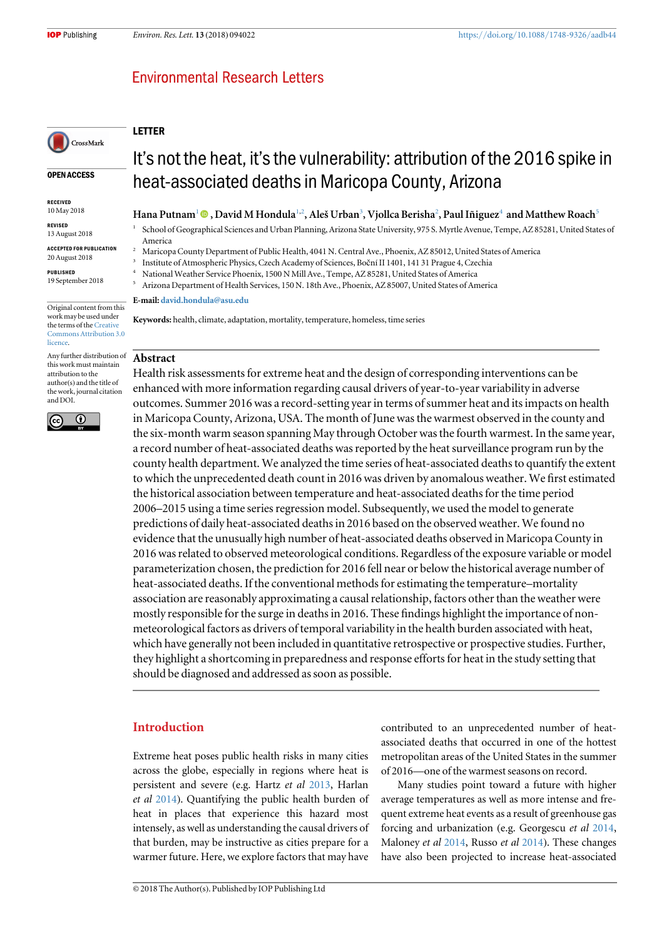# **Environmental Research Letters**

### LETTER

CrossMark

OPEN ACCESS

RECEIVED 10 May 2018

REVISED 13 August 2018

ACCEPTED FOR PUBLICATION 20 August 2018

PUBLISHED 19 September 2018

Original content from this work may be used under the terms of the [Creative](http://creativecommons.org/licenses/by/3.0) [Commons Attribution 3.0](http://creativecommons.org/licenses/by/3.0) **licence** 

Any further distribution of this work must maintain attribution to the author(s) and the title of the work, journal citation and DOI.



It's not the heat, it's the vulnerability: attribution of the 2016 spike in heat-associated deaths in Maricopa County, Arizona

#### Hana Putnam $^1\bm{\mathbb{O}}$  [,](https://orcid.org/0000-0002-0119-0374) David M Hondula $^{1,2}$ , Aleš Urban $^3$ , Vjollca Berisha $^2$ , Paul Iñiguez $^4$  and Matthew Roach $^5$

<sup>1</sup> School of Geographical Sciences and Urban Planning, Arizona State University, 975 S. Myrtle Avenue, Tempe, AZ 85281, United States of America

- <sup>2</sup> Maricopa County Department of Public Health, 4041 N. Central Ave., Phoenix, AZ 85012, United States of America
- <sup>3</sup> Institute of Atmospheric Physics, Czech Academy of Sciences, Boční II 1401, 141 31 Prague 4, Czechia
- <sup>4</sup> National Weather Service Phoenix, 1500 N Mill Ave., Tempe, AZ 85281, United States of America

<sup>5</sup> Arizona Department of Health Services, 150 N. 18th Ave., Phoenix, AZ 85007, United States of America

#### E-mail: [david.hondula@asu.edu](mailto:david.hondula@asu.edu)

Keywords: health, climate, adaptation, mortality, temperature, homeless, time series

#### Abstract

Health risk assessments for extreme heat and the design of corresponding interventions can be enhanced with more information regarding causal drivers of year-to-year variability in adverse outcomes. Summer 2016 was a record-setting year in terms of summer heat and its impacts on health in Maricopa County, Arizona, USA. The month of June was the warmest observed in the county and the six-month warm season spanning May through October was the fourth warmest. In the same year, a record number of heat-associated deaths was reported by the heat surveillance program run by the county health department. We analyzed the time series of heat-associated deaths to quantify the extent to which the unprecedented death count in 2016 was driven by anomalous weather. We first estimated the historical association between temperature and heat-associated deaths for the time period 2006–2015 using a time series regression model. Subsequently, we used the model to generate predictions of daily heat-associated deaths in 2016 based on the observed weather. We found no evidence that the unusually high number of heat-associated deaths observed in Maricopa County in 2016 was related to observed meteorological conditions. Regardless of the exposure variable or model parameterization chosen, the prediction for 2016 fell near or below the historical average number of heat-associated deaths. If the conventional methods for estimating the temperature–mortality association are reasonably approximating a causal relationship, factors other than the weather were mostly responsible for the surge in deaths in 2016. These findings highlight the importance of nonmeteorological factors as drivers of temporal variability in the health burden associated with heat, which have generally not been included in quantitative retrospective or prospective studies. Further, they highlight a shortcoming in preparedness and response efforts for heat in the study setting that should be diagnosed and addressed as soon as possible.

# Introduction

Extreme heat poses public health risks in many cities across the globe, especially in regions where heat is persistent and severe (e.g. Hartz et al [2013](#page-9-0), Harlan et al [2014](#page-9-0)). Quantifying the public health burden of heat in places that experience this hazard most intensely, as well as understanding the causal drivers of that burden, may be instructive as cities prepare for a warmer future. Here, we explore factors that may have

contributed to an unprecedented number of heatassociated deaths that occurred in one of the hottest metropolitan areas of the United States in the summer of 2016—one of the warmest seasons on record.

Many studies point toward a future with higher average temperatures as well as more intense and frequent extreme heat events as a result of greenhouse gas forcing and urbanization (e.g. Georgescu et al [2014](#page-9-0), Maloney et al [2014](#page-10-0), Russo et al [2014](#page-10-0)). These changes have also been projected to increase heat-associated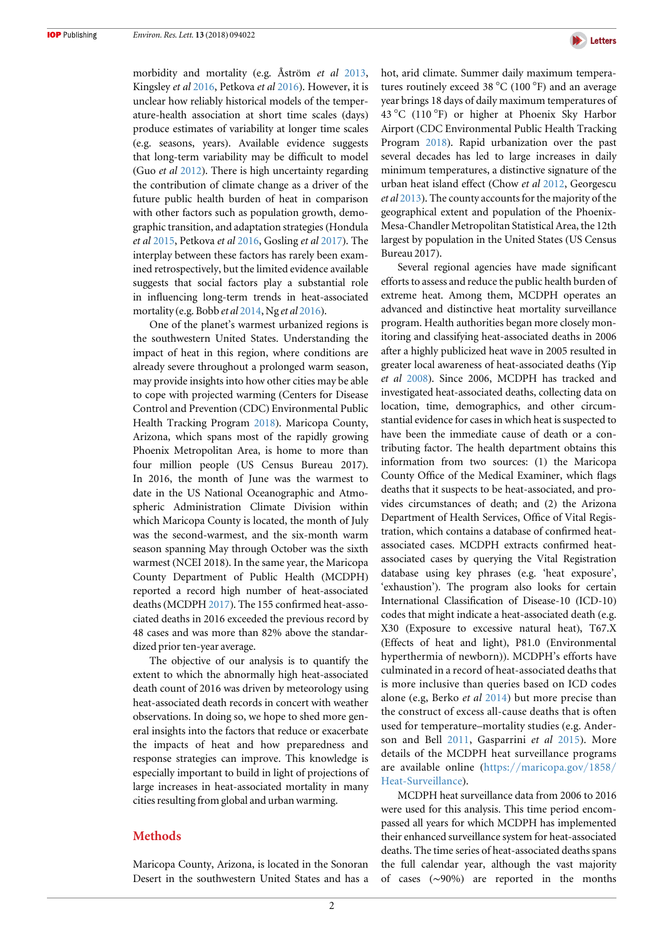morbidity and mortality (e.g. Åström et al [2013,](#page-9-0) Kingsley et al [2016](#page-9-0), Petkova et al [2016](#page-10-0)). However, it is unclear how reliably historical models of the temperature-health association at short time scales (days) produce estimates of variability at longer time scales (e.g. seasons, years). Available evidence suggests that long-term variability may be difficult to model (Guo et al [2012](#page-9-0)). There is high uncertainty regarding the contribution of climate change as a driver of the future public health burden of heat in comparison with other factors such as population growth, demographic transition, and adaptation strategies (Hondula et al [2015,](#page-9-0) Petkova et al [2016](#page-10-0), Gosling et al [2017](#page-9-0)). The interplay between these factors has rarely been examined retrospectively, but the limited evidence available suggests that social factors play a substantial role in influencing long-term trends in heat-associated mortality (e.g. Bobb et al [2014](#page-9-0), Ng et al [2016](#page-10-0)).

One of the planet's warmest urbanized regions is the southwestern United States. Understanding the impact of heat in this region, where conditions are already severe throughout a prolonged warm season, may provide insights into how other cities may be able to cope with projected warming (Centers for Disease Control and Prevention (CDC) Environmental Public Health Tracking Program [2018](#page-9-0)). Maricopa County, Arizona, which spans most of the rapidly growing Phoenix Metropolitan Area, is home to more than four million people (US Census Bureau 2017). In 2016, the month of June was the warmest to date in the US National Oceanographic and Atmospheric Administration Climate Division within which Maricopa County is located, the month of July was the second-warmest, and the six-month warm season spanning May through October was the sixth warmest (NCEI 2018). In the same year, the Maricopa County Department of Public Health (MCDPH) reported a record high number of heat-associated deaths (MCDPH [2017](#page-10-0)). The 155 confirmed heat-associated deaths in 2016 exceeded the previous record by 48 cases and was more than 82% above the standardized prior ten-year average.

The objective of our analysis is to quantify the extent to which the abnormally high heat-associated death count of 2016 was driven by meteorology using heat-associated death records in concert with weather observations. In doing so, we hope to shed more general insights into the factors that reduce or exacerbate the impacts of heat and how preparedness and response strategies can improve. This knowledge is especially important to build in light of projections of large increases in heat-associated mortality in many cities resulting from global and urban warming.

#### **Methods**

Maricopa County, Arizona, is located in the Sonoran Desert in the southwestern United States and has a



hot, arid climate. Summer daily maximum temperatures routinely exceed  $38 \degree C$  (100  $\degree F$ ) and an average year brings 18 days of daily maximum temperatures of 43 °C (110 °F) or higher at Phoenix Sky Harbor Airport (CDC Environmental Public Health Tracking Program [2018](#page-9-0)). Rapid urbanization over the past several decades has led to large increases in daily minimum temperatures, a distinctive signature of the urban heat island effect (Chow et al [2012](#page-9-0), Georgescu et al [2013](#page-9-0)). The county accounts for the majority of the geographical extent and population of the Phoenix-Mesa-Chandler Metropolitan Statistical Area, the 12th largest by population in the United States (US Census Bureau 2017).

Several regional agencies have made significant efforts to assess and reduce the public health burden of extreme heat. Among them, MCDPH operates an advanced and distinctive heat mortality surveillance program. Health authorities began more closely monitoring and classifying heat-associated deaths in 2006 after a highly publicized heat wave in 2005 resulted in greater local awareness of heat-associated deaths (Yip et al [2008](#page-10-0)). Since 2006, MCDPH has tracked and investigated heat-associated deaths, collecting data on location, time, demographics, and other circumstantial evidence for cases in which heat is suspected to have been the immediate cause of death or a contributing factor. The health department obtains this information from two sources: (1) the Maricopa County Office of the Medical Examiner, which flags deaths that it suspects to be heat-associated, and provides circumstances of death; and (2) the Arizona Department of Health Services, Office of Vital Registration, which contains a database of confirmed heatassociated cases. MCDPH extracts confirmed heatassociated cases by querying the Vital Registration database using key phrases (e.g. 'heat exposure', 'exhaustion'). The program also looks for certain International Classification of Disease-10 (ICD-10) codes that might indicate a heat-associated death (e.g. X30 (Exposure to excessive natural heat), T67.X (Effects of heat and light), P81.0 (Environmental hyperthermia of newborn)). MCDPH's efforts have culminated in a record of heat-associated deaths that is more inclusive than queries based on ICD codes alone (e.g, Berko et al [2014](#page-9-0)) but more precise than the construct of excess all-cause deaths that is often used for temperature–mortality studies (e.g. Anderson and Bell [2011,](#page-9-0) Gasparrini et al [2015](#page-9-0)). More details of the MCDPH heat surveillance programs are available online (https://[maricopa.gov](https://www.maricopa.gov/1858/Heat-Surveillance)/1858/ [Heat-Surveillance](https://www.maricopa.gov/1858/Heat-Surveillance)).

MCDPH heat surveillance data from 2006 to 2016 were used for this analysis. This time period encompassed all years for which MCDPH has implemented their enhanced surveillance system for heat-associated deaths. The time series of heat-associated deaths spans the full calendar year, although the vast majority of cases (∼90%) are reported in the months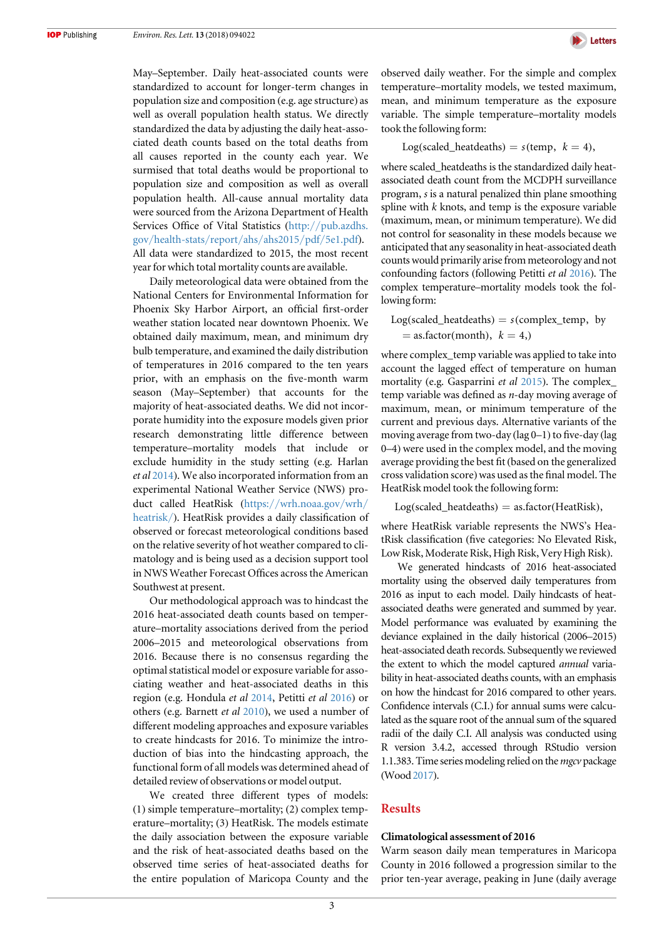May–September. Daily heat-associated counts were standardized to account for longer-term changes in population size and composition (e.g. age structure) as well as overall population health status. We directly standardized the data by adjusting the daily heat-associated death counts based on the total deaths from all causes reported in the county each year. We surmised that total deaths would be proportional to population size and composition as well as overall population health. All-cause annual mortality data were sourced from the Arizona Department of Health Services Office of Vital Statistics (http://[pub.azdhs.](http://pub.azdhs.gov/health-stats/report/ahs/ahs2015/pdf/5e1.pdf) gov/[health-stats](http://pub.azdhs.gov/health-stats/report/ahs/ahs2015/pdf/5e1.pdf)/report/ahs/ahs2015/pdf/5e1.pdf). All data were standardized to 2015, the most recent year for which total mortality counts are available.

Daily meteorological data were obtained from the National Centers for Environmental Information for Phoenix Sky Harbor Airport, an official first-order weather station located near downtown Phoenix. We obtained daily maximum, mean, and minimum dry bulb temperature, and examined the daily distribution of temperatures in 2016 compared to the ten years prior, with an emphasis on the five-month warm season (May–September) that accounts for the majority of heat-associated deaths. We did not incorporate humidity into the exposure models given prior research demonstrating little difference between temperature–mortality models that include or exclude humidity in the study setting (e.g. Harlan et al [2014](#page-9-0)). We also incorporated information from an experimental National Weather Service (NWS) product called HeatRisk (https://[wrh.noaa.gov](https://www.wrh.noaa.gov/wrh/heatrisk/)/wrh/ [heatrisk](https://www.wrh.noaa.gov/wrh/heatrisk/)/). HeatRisk provides a daily classification of observed or forecast meteorological conditions based on the relative severity of hot weather compared to climatology and is being used as a decision support tool in NWS Weather Forecast Offices across the American Southwest at present.

Our methodological approach was to hindcast the 2016 heat-associated death counts based on temperature–mortality associations derived from the period 2006–2015 and meteorological observations from 2016. Because there is no consensus regarding the optimal statistical model or exposure variable for associating weather and heat-associated deaths in this region (e.g. Hondula et al [2014](#page-9-0), Petitti et al [2016](#page-10-0)) or others (e.g. Barnett et al [2010](#page-9-0)), we used a number of different modeling approaches and exposure variables to create hindcasts for 2016. To minimize the introduction of bias into the hindcasting approach, the functional form of all models was determined ahead of detailed review of observations or model output.

We created three different types of models: (1) simple temperature–mortality; (2) complex temperature–mortality; (3) HeatRisk. The models estimate the daily association between the exposure variable and the risk of heat-associated deaths based on the observed time series of heat-associated deaths for the entire population of Maricopa County and the



observed daily weather. For the simple and complex temperature–mortality models, we tested maximum, mean, and minimum temperature as the exposure variable. The simple temperature–mortality models took the following form:

#### Log(scaled heatdeaths) =  $s$  (temp,  $k = 4$ ),

where scaled heatdeaths is the standardized daily heatassociated death count from the MCDPH surveillance program, s is a natural penalized thin plane smoothing spline with  $k$  knots, and temp is the exposure variable (maximum, mean, or minimum temperature). We did not control for seasonality in these models because we anticipated that any seasonality in heat-associated death counts would primarily arise from meteorology and not confounding factors (following Petitti et al [2016](#page-10-0)). The complex temperature–mortality models took the following form:

 $Log(scaled\_heat deaths) = s(complex\_temp, by)$  $=$  as.factor(month),  $k = 4$ ,)

where complex\_temp variable was applied to take into account the lagged effect of temperature on human mortality (e.g. Gasparrini et al [2015](#page-9-0)). The complex\_ temp variable was defined as  $n$ -day moving average of maximum, mean, or minimum temperature of the current and previous days. Alternative variants of the moving average from two-day (lag 0–1) to five-day (lag 0–4) were used in the complex model, and the moving average providing the best fit (based on the generalized cross validation score)was used as the final model. The HeatRisk model took the following form:

 $Log(scaled \ heatedes) = as.factor (HeatRisk),$ 

where HeatRisk variable represents the NWS's HeatRisk classification (five categories: No Elevated Risk, Low Risk, Moderate Risk, High Risk, Very High Risk).

We generated hindcasts of 2016 heat-associated mortality using the observed daily temperatures from 2016 as input to each model. Daily hindcasts of heatassociated deaths were generated and summed by year. Model performance was evaluated by examining the deviance explained in the daily historical (2006–2015) heat-associated death records. Subsequently we reviewed the extent to which the model captured annual variability in heat-associated deaths counts, with an emphasis on how the hindcast for 2016 compared to other years. Confidence intervals (C.I.) for annual sums were calculated as the square root of the annual sum of the squared radii of the daily C.I. All analysis was conducted using R version 3.4.2, accessed through RStudio version 1.1.383. Time series modeling relied on the mgcv package (Wood [2017](#page-10-0)).

#### Results

#### Climatological assessment of 2016

Warm season daily mean temperatures in Maricopa County in 2016 followed a progression similar to the prior ten-year average, peaking in June (daily average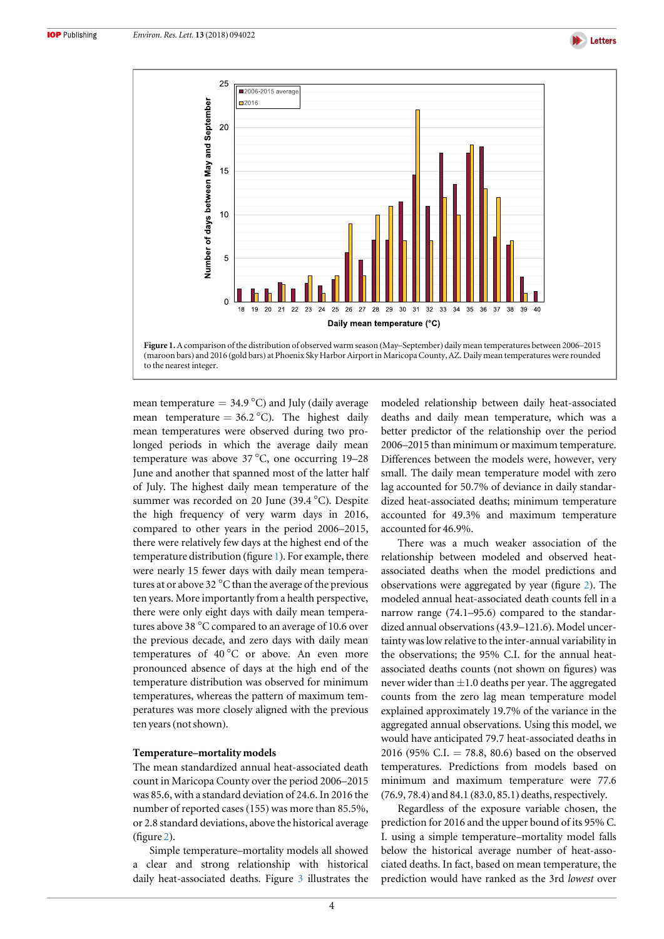

<span id="page-4-0"></span>

mean temperature  $=$  34.9 °C) and July (daily average mean temperature =  $36.2 \degree$ C). The highest daily mean temperatures were observed during two prolonged periods in which the average daily mean temperature was above  $37^{\circ}$ C, one occurring 19–28 June and another that spanned most of the latter half of July. The highest daily mean temperature of the summer was recorded on 20 June (39.4 °C). Despite the high frequency of very warm days in 2016, compared to other years in the period 2006–2015, there were relatively few days at the highest end of the temperature distribution (figure 1). For example, there were nearly 15 fewer days with daily mean temperatures at or above 32 °C than the average of the previous ten years. More importantly from a health perspective, there were only eight days with daily mean temperatures above 38 °C compared to an average of 10.6 over the previous decade, and zero days with daily mean temperatures of 40 °C or above. An even more pronounced absence of days at the high end of the temperature distribution was observed for minimum temperatures, whereas the pattern of maximum temperatures was more closely aligned with the previous ten years (not shown).

#### Temperature–mortality models

The mean standardized annual heat-associated death count in Maricopa County over the period 2006–2015 was 85.6, with a standard deviation of 24.6. In 2016 the number of reported cases (155) was more than 85.5%, or 2.8 standard deviations, above the historical average (figure [2](#page-5-0)).

Simple temperature–mortality models all showed a clear and strong relationship with historical daily heat-associated deaths. Figure [3](#page-5-0) illustrates the modeled relationship between daily heat-associated deaths and daily mean temperature, which was a better predictor of the relationship over the period 2006–2015 than minimum or maximum temperature. Differences between the models were, however, very small. The daily mean temperature model with zero lag accounted for 50.7% of deviance in daily standardized heat-associated deaths; minimum temperature accounted for 49.3% and maximum temperature accounted for 46.9%.

There was a much weaker association of the relationship between modeled and observed heatassociated deaths when the model predictions and observations were aggregated by year (figure [2](#page-5-0)). The modeled annual heat-associated death counts fell in a narrow range (74.1–95.6) compared to the standardized annual observations (43.9–121.6). Model uncertainty was low relative to the inter-annual variability in the observations; the 95% C.I. for the annual heatassociated deaths counts (not shown on figures) was never wider than  $\pm 1.0$  deaths per year. The aggregated counts from the zero lag mean temperature model explained approximately 19.7% of the variance in the aggregated annual observations. Using this model, we would have anticipated 79.7 heat-associated deaths in 2016 (95% C.I.  $= 78.8, 80.6$ ) based on the observed temperatures. Predictions from models based on minimum and maximum temperature were 77.6 (76.9, 78.4) and 84.1 (83.0, 85.1) deaths, respectively.

Regardless of the exposure variable chosen, the prediction for 2016 and the upper bound of its 95% C. I. using a simple temperature–mortality model falls below the historical average number of heat-associated deaths. In fact, based on mean temperature, the prediction would have ranked as the 3rd lowest over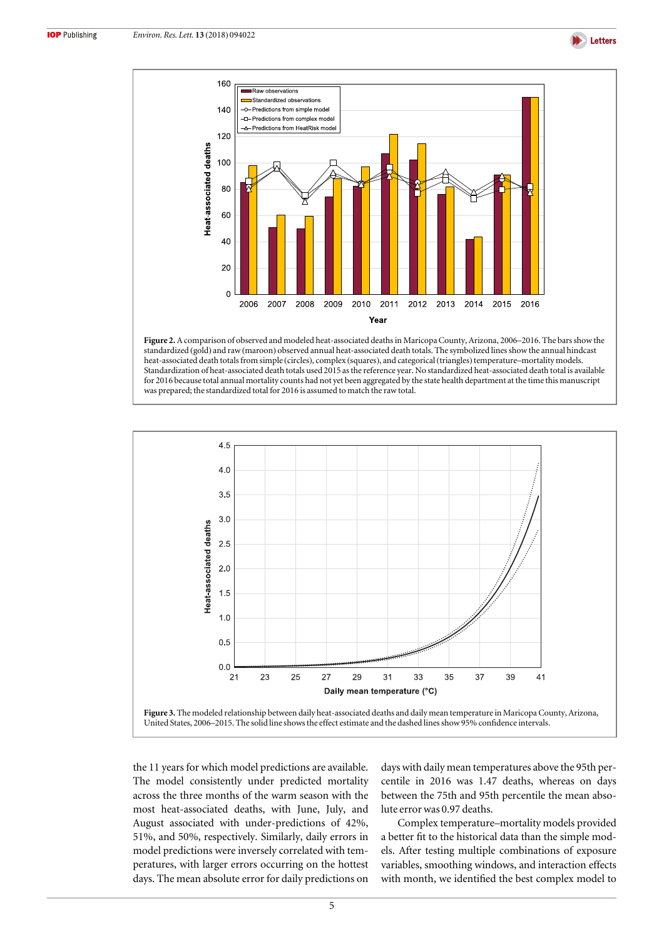

<span id="page-5-0"></span>





the 11 years for which model predictions are available. The model consistently under predicted mortality across the three months of the warm season with the most heat-associated deaths, with June, July, and August associated with under-predictions of 42%, 51%, and 50%, respectively. Similarly, daily errors in model predictions were inversely correlated with temperatures, with larger errors occurring on the hottest days. The mean absolute error for daily predictions on

days with daily mean temperatures above the 95th percentile in 2016 was 1.47 deaths, whereas on days between the 75th and 95th percentile the mean absolute error was 0.97 deaths.

Complex temperature–mortality models provided a better fit to the historical data than the simple models. After testing multiple combinations of exposure variables, smoothing windows, and interaction effects with month, we identified the best complex model to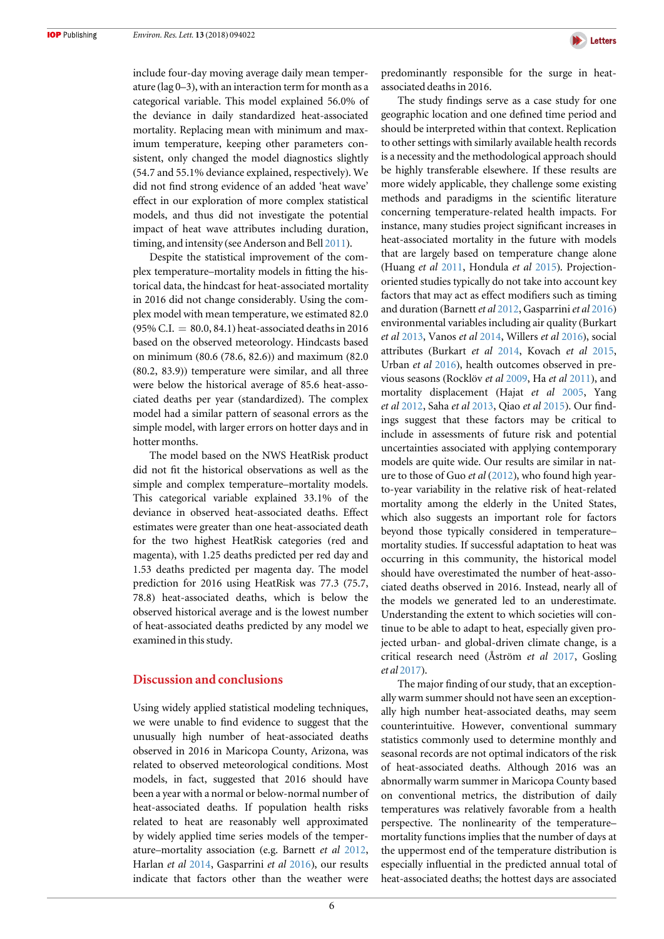

include four-day moving average daily mean temperature (lag 0–3), with an interaction term for month as a categorical variable. This model explained 56.0% of the deviance in daily standardized heat-associated mortality. Replacing mean with minimum and maximum temperature, keeping other parameters consistent, only changed the model diagnostics slightly (54.7 and 55.1% deviance explained, respectively). We did not find strong evidence of an added 'heat wave' effect in our exploration of more complex statistical models, and thus did not investigate the potential impact of heat wave attributes including duration, timing, and intensity (see Anderson and Bell [2011](#page-9-0)).

Despite the statistical improvement of the complex temperature–mortality models in fitting the historical data, the hindcast for heat-associated mortality in 2016 did not change considerably. Using the complex model with mean temperature, we estimated 82.0  $(95\% \text{ C.I.} = 80.0, 84.1)$  heat-associated deaths in 2016 based on the observed meteorology. Hindcasts based on minimum (80.6 (78.6, 82.6)) and maximum (82.0 (80.2, 83.9)) temperature were similar, and all three were below the historical average of 85.6 heat-associated deaths per year (standardized). The complex model had a similar pattern of seasonal errors as the simple model, with larger errors on hotter days and in hotter months.

The model based on the NWS HeatRisk product did not fit the historical observations as well as the simple and complex temperature–mortality models. This categorical variable explained 33.1% of the deviance in observed heat-associated deaths. Effect estimates were greater than one heat-associated death for the two highest HeatRisk categories (red and magenta), with 1.25 deaths predicted per red day and 1.53 deaths predicted per magenta day. The model prediction for 2016 using HeatRisk was 77.3 (75.7, 78.8) heat-associated deaths, which is below the observed historical average and is the lowest number of heat-associated deaths predicted by any model we examined in this study.

### Discussion and conclusions

Using widely applied statistical modeling techniques, we were unable to find evidence to suggest that the unusually high number of heat-associated deaths observed in 2016 in Maricopa County, Arizona, was related to observed meteorological conditions. Most models, in fact, suggested that 2016 should have been a year with a normal or below-normal number of heat-associated deaths. If population health risks related to heat are reasonably well approximated by widely applied time series models of the temperature–mortality association (e.g. Barnett et al [2012,](#page-9-0) Harlan et al [2014](#page-9-0), Gasparrini et al [2016](#page-9-0)), our results indicate that factors other than the weather were

predominantly responsible for the surge in heatassociated deaths in 2016.

The study findings serve as a case study for one geographic location and one defined time period and should be interpreted within that context. Replication to other settings with similarly available health records is a necessity and the methodological approach should be highly transferable elsewhere. If these results are more widely applicable, they challenge some existing methods and paradigms in the scientific literature concerning temperature-related health impacts. For instance, many studies project significant increases in heat-associated mortality in the future with models that are largely based on temperature change alone (Huang et al [2011,](#page-9-0) Hondula et al [2015](#page-9-0)). Projectionoriented studies typically do not take into account key factors that may act as effect modifiers such as timing and duration (Barnett et al [2012](#page-9-0), Gasparrini et al [2016](#page-9-0)) environmental variables including air quality (Burkart et al [2013](#page-9-0), Vanos et al [2014](#page-10-0), Willers et al [2016](#page-10-0)), social attributes (Burkart et al [2014,](#page-9-0) Kovach et al [2015](#page-9-0), Urban et al [2016](#page-10-0)), health outcomes observed in previous seasons (Rocklöv et al [2009,](#page-10-0) Ha et al [2011](#page-9-0)), and mortality displacement (Hajat et al [2005](#page-9-0), Yang et al [2012](#page-10-0), Saha et al [2013](#page-10-0), Qiao et al [2015](#page-10-0)). Our findings suggest that these factors may be critical to include in assessments of future risk and potential uncertainties associated with applying contemporary models are quite wide. Our results are similar in nature to those of Guo et al ([2012](#page-9-0)), who found high yearto-year variability in the relative risk of heat-related mortality among the elderly in the United States, which also suggests an important role for factors beyond those typically considered in temperature– mortality studies. If successful adaptation to heat was occurring in this community, the historical model should have overestimated the number of heat-associated deaths observed in 2016. Instead, nearly all of the models we generated led to an underestimate. Understanding the extent to which societies will continue to be able to adapt to heat, especially given projected urban- and global-driven climate change, is a critical research need (Åström et al [2017](#page-9-0), Gosling et al [2017](#page-9-0)).

The major finding of our study, that an exceptionally warm summer should not have seen an exceptionally high number heat-associated deaths, may seem counterintuitive. However, conventional summary statistics commonly used to determine monthly and seasonal records are not optimal indicators of the risk of heat-associated deaths. Although 2016 was an abnormally warm summer in Maricopa County based on conventional metrics, the distribution of daily temperatures was relatively favorable from a health perspective. The nonlinearity of the temperature– mortality functions implies that the number of days at the uppermost end of the temperature distribution is especially influential in the predicted annual total of heat-associated deaths; the hottest days are associated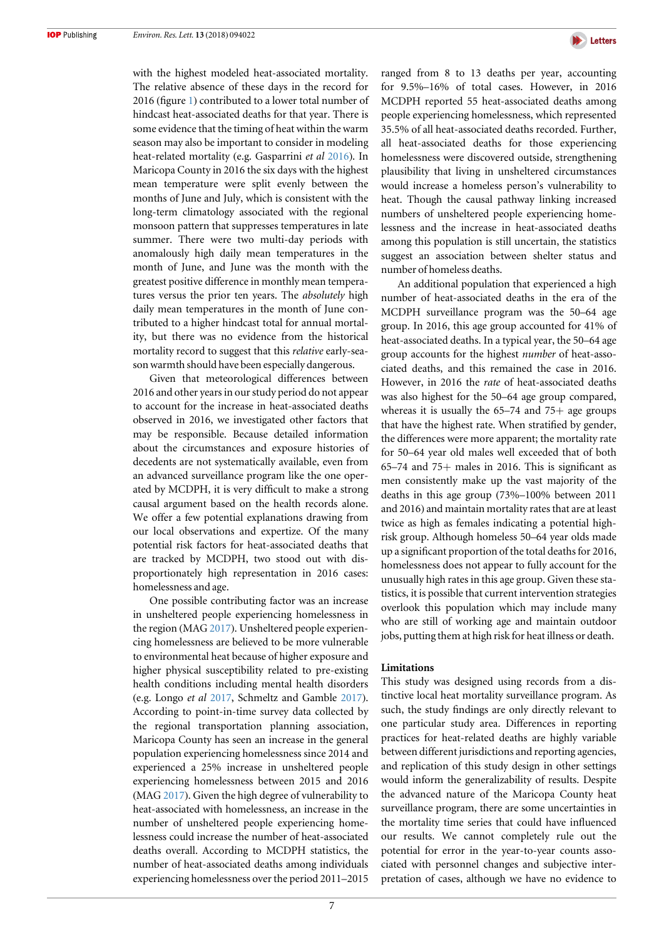with the highest modeled heat-associated mortality. The relative absence of these days in the record for 2016 (figure [1](#page-4-0)) contributed to a lower total number of hindcast heat-associated deaths for that year. There is some evidence that the timing of heat within the warm season may also be important to consider in modeling heat-related mortality (e.g. Gasparrini et al [2016](#page-9-0)). In Maricopa County in 2016 the six days with the highest mean temperature were split evenly between the months of June and July, which is consistent with the long-term climatology associated with the regional monsoon pattern that suppresses temperatures in late summer. There were two multi-day periods with anomalously high daily mean temperatures in the month of June, and June was the month with the greatest positive difference in monthly mean temperatures versus the prior ten years. The absolutely high daily mean temperatures in the month of June contributed to a higher hindcast total for annual mortality, but there was no evidence from the historical mortality record to suggest that this relative early-season warmth should have been especially dangerous.

Given that meteorological differences between 2016 and other years in our study period do not appear to account for the increase in heat-associated deaths observed in 2016, we investigated other factors that may be responsible. Because detailed information about the circumstances and exposure histories of decedents are not systematically available, even from an advanced surveillance program like the one operated by MCDPH, it is very difficult to make a strong causal argument based on the health records alone. We offer a few potential explanations drawing from our local observations and expertize. Of the many potential risk factors for heat-associated deaths that are tracked by MCDPH, two stood out with disproportionately high representation in 2016 cases: homelessness and age.

One possible contributing factor was an increase in unsheltered people experiencing homelessness in the region (MAG [2017](#page-10-0)). Unsheltered people experiencing homelessness are believed to be more vulnerable to environmental heat because of higher exposure and higher physical susceptibility related to pre-existing health conditions including mental health disorders (e.g. Longo et al [2017](#page-9-0), Schmeltz and Gamble [2017](#page-10-0)). According to point-in-time survey data collected by the regional transportation planning association, Maricopa County has seen an increase in the general population experiencing homelessness since 2014 and experienced a 25% increase in unsheltered people experiencing homelessness between 2015 and 2016 (MAG [2017](#page-10-0)). Given the high degree of vulnerability to heat-associated with homelessness, an increase in the number of unsheltered people experiencing homelessness could increase the number of heat-associated deaths overall. According to MCDPH statistics, the number of heat-associated deaths among individuals experiencing homelessness over the period 2011–2015



ranged from 8 to 13 deaths per year, accounting for 9.5%–16% of total cases. However, in 2016 MCDPH reported 55 heat-associated deaths among people experiencing homelessness, which represented 35.5% of all heat-associated deaths recorded. Further, all heat-associated deaths for those experiencing homelessness were discovered outside, strengthening plausibility that living in unsheltered circumstances would increase a homeless person's vulnerability to heat. Though the causal pathway linking increased numbers of unsheltered people experiencing homelessness and the increase in heat-associated deaths among this population is still uncertain, the statistics suggest an association between shelter status and number of homeless deaths.

An additional population that experienced a high number of heat-associated deaths in the era of the MCDPH surveillance program was the 50–64 age group. In 2016, this age group accounted for 41% of heat-associated deaths. In a typical year, the 50–64 age group accounts for the highest number of heat-associated deaths, and this remained the case in 2016. However, in 2016 the rate of heat-associated deaths was also highest for the 50–64 age group compared, whereas it is usually the  $65-74$  and  $75+$  age groups that have the highest rate. When stratified by gender, the differences were more apparent; the mortality rate for 50–64 year old males well exceeded that of both 65–74 and 75 $+$  males in 2016. This is significant as men consistently make up the vast majority of the deaths in this age group (73%–100% between 2011 and 2016) and maintain mortality rates that are at least twice as high as females indicating a potential highrisk group. Although homeless 50–64 year olds made up a significant proportion of the total deaths for 2016, homelessness does not appear to fully account for the unusually high rates in this age group. Given these statistics, it is possible that current intervention strategies overlook this population which may include many who are still of working age and maintain outdoor jobs, putting them at high risk for heat illness or death.

#### Limitations

This study was designed using records from a distinctive local heat mortality surveillance program. As such, the study findings are only directly relevant to one particular study area. Differences in reporting practices for heat-related deaths are highly variable between different jurisdictions and reporting agencies, and replication of this study design in other settings would inform the generalizability of results. Despite the advanced nature of the Maricopa County heat surveillance program, there are some uncertainties in the mortality time series that could have influenced our results. We cannot completely rule out the potential for error in the year-to-year counts associated with personnel changes and subjective interpretation of cases, although we have no evidence to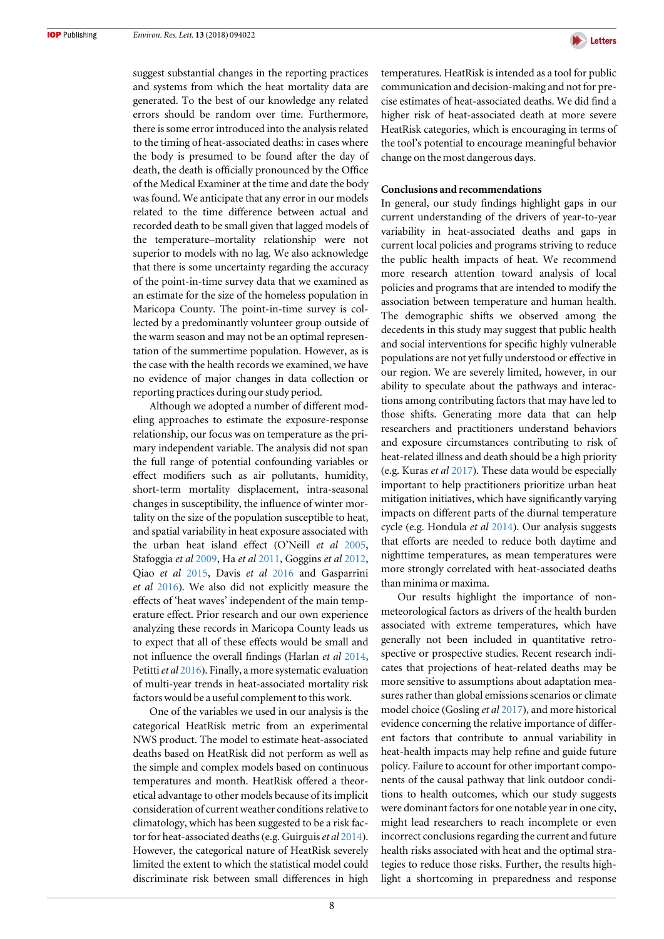suggest substantial changes in the reporting practices and systems from which the heat mortality data are generated. To the best of our knowledge any related errors should be random over time. Furthermore, there is some error introduced into the analysis related to the timing of heat-associated deaths: in cases where the body is presumed to be found after the day of death, the death is officially pronounced by the Office of the Medical Examiner at the time and date the body was found. We anticipate that any error in our models related to the time difference between actual and recorded death to be small given that lagged models of the temperature–mortality relationship were not superior to models with no lag. We also acknowledge that there is some uncertainty regarding the accuracy of the point-in-time survey data that we examined as an estimate for the size of the homeless population in Maricopa County. The point-in-time survey is collected by a predominantly volunteer group outside of the warm season and may not be an optimal representation of the summertime population. However, as is the case with the health records we examined, we have no evidence of major changes in data collection or reporting practices during our study period.

Although we adopted a number of different modeling approaches to estimate the exposure-response relationship, our focus was on temperature as the primary independent variable. The analysis did not span the full range of potential confounding variables or effect modifiers such as air pollutants, humidity, short-term mortality displacement, intra-seasonal changes in susceptibility, the influence of winter mortality on the size of the population susceptible to heat, and spatial variability in heat exposure associated with the urban heat island effect (O'Neill et al [2005,](#page-10-0) Stafoggia et al [2009,](#page-10-0) Ha et al [2011,](#page-9-0) Goggins et al [2012,](#page-9-0) Qiao et al [2015](#page-10-0), Davis et al [2016](#page-9-0) and Gasparrini et al [2016](#page-9-0)). We also did not explicitly measure the effects of 'heat waves' independent of the main temperature effect. Prior research and our own experience analyzing these records in Maricopa County leads us to expect that all of these effects would be small and not influence the overall findings (Harlan et al [2014,](#page-9-0) Petitti et al [2016](#page-10-0)). Finally, a more systematic evaluation of multi-year trends in heat-associated mortality risk factors would be a useful complement to this work.

One of the variables we used in our analysis is the categorical HeatRisk metric from an experimental NWS product. The model to estimate heat-associated deaths based on HeatRisk did not perform as well as the simple and complex models based on continuous temperatures and month. HeatRisk offered a theoretical advantage to other models because of its implicit consideration of current weather conditions relative to climatology, which has been suggested to be a risk fac-tor for heat-associated deaths (e.g. Guirguis et al [2014](#page-9-0)). However, the categorical nature of HeatRisk severely limited the extent to which the statistical model could discriminate risk between small differences in high



temperatures. HeatRisk is intended as a tool for public communication and decision-making and not for precise estimates of heat-associated deaths. We did find a higher risk of heat-associated death at more severe HeatRisk categories, which is encouraging in terms of the tool's potential to encourage meaningful behavior change on the most dangerous days.

#### Conclusions and recommendations

In general, our study findings highlight gaps in our current understanding of the drivers of year-to-year variability in heat-associated deaths and gaps in current local policies and programs striving to reduce the public health impacts of heat. We recommend more research attention toward analysis of local policies and programs that are intended to modify the association between temperature and human health. The demographic shifts we observed among the decedents in this study may suggest that public health and social interventions for specific highly vulnerable populations are not yet fully understood or effective in our region. We are severely limited, however, in our ability to speculate about the pathways and interactions among contributing factors that may have led to those shifts. Generating more data that can help researchers and practitioners understand behaviors and exposure circumstances contributing to risk of heat-related illness and death should be a high priority (e.g. Kuras et al [2017](#page-9-0)). These data would be especially important to help practitioners prioritize urban heat mitigation initiatives, which have significantly varying impacts on different parts of the diurnal temperature cycle (e.g. Hondula et al [2014](#page-9-0)). Our analysis suggests that efforts are needed to reduce both daytime and nighttime temperatures, as mean temperatures were more strongly correlated with heat-associated deaths than minima or maxima.

Our results highlight the importance of nonmeteorological factors as drivers of the health burden associated with extreme temperatures, which have generally not been included in quantitative retrospective or prospective studies. Recent research indicates that projections of heat-related deaths may be more sensitive to assumptions about adaptation measures rather than global emissions scenarios or climate model choice (Gosling et al [2017](#page-9-0)), and more historical evidence concerning the relative importance of different factors that contribute to annual variability in heat-health impacts may help refine and guide future policy. Failure to account for other important components of the causal pathway that link outdoor conditions to health outcomes, which our study suggests were dominant factors for one notable year in one city, might lead researchers to reach incomplete or even incorrect conclusions regarding the current and future health risks associated with heat and the optimal strategies to reduce those risks. Further, the results highlight a shortcoming in preparedness and response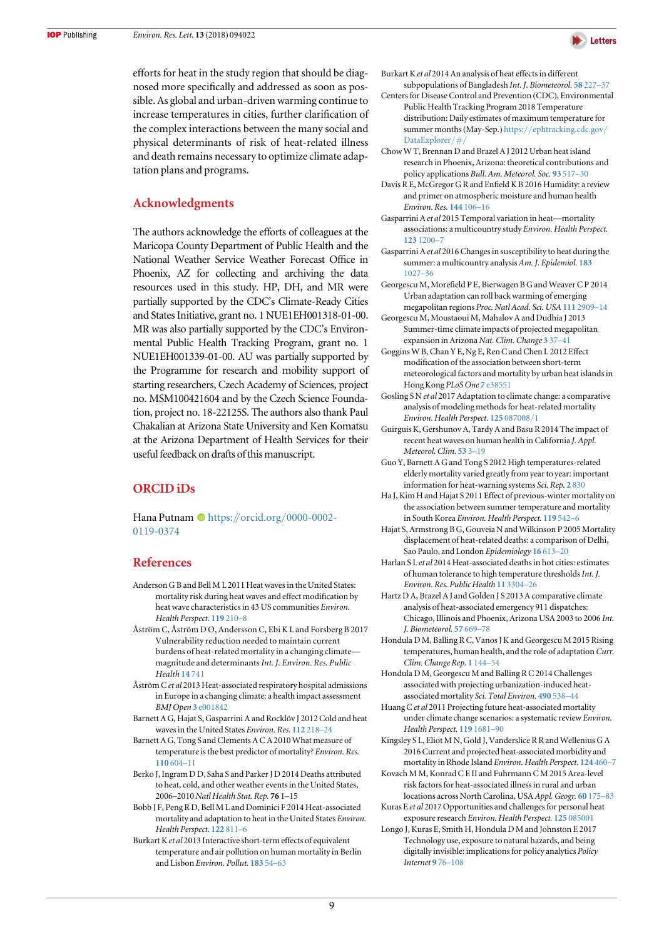<span id="page-9-0"></span>**IOP** Publishing



## Acknowledgments

The authors acknowledge the efforts of colleagues at the Maricopa County Department of Public Health and the National Weather Service Weather Forecast Office in Phoenix, AZ for collecting and archiving the data resources used in this study. HP, DH, and MR were partially supported by the CDC's Climate-Ready Cities and States Initiative, grant no. 1 NUE1EH001318-01-00. MR was also partially supported by the CDC's Environmental Public Health Tracking Program, grant no. 1 NUE1EH001339-01-00. AU was partially supported by the Programme for research and mobility support of starting researchers, Czech Academy of Sciences, project no. MSM100421604 and by the Czech Science Foundation, project no. 18-22125S. The authors also thank Paul Chakalian at Arizona State University and Ken Komatsu at the Arizona Department of Health Services for their useful feedback on drafts of this manuscript.

# ORCID iDs

Hana Putnam <sup>t</sup>[https:](https://orcid.org/0000-0002-0119-0374)//orcid.org/[0000-0002-](https://orcid.org/0000-0002-0119-0374) [0119-0374](https://orcid.org/0000-0002-0119-0374)

#### References

- Anderson G B and Bell M L 2011 Heat waves in the United States: mortality risk during heat waves and effect modification by heat wave characteristics in 43 US communities Environ. Health Perspect. [119](https://doi.org/10.1289/ehp.1002313) 210–8
- Åström C, Åström D O, Andersson C, Ebi K L and Forsberg B 2017 Vulnerability reduction needed to maintain current burdens of heat-related mortality in a changing climate magnitude and determinants Int. J. Environ. Res. Public Health 14 [741](https://doi.org/10.3390/ijerph14070741)
- Åström C et al 2013 Heat-associated respiratory hospital admissions in Europe in a changing climate: a health impact assessment BMJ Open 3 [e001842](https://doi.org/10.1136/bmjopen-2012-001842)
- Barnett A G, Hajat S, Gasparrini A and Rocklöv J 2012 Cold and heat waves in the United States Environ. Res. [112](https://doi.org/10.1016/j.envres.2011.12.010) 218–24
- Barnett A G, Tong S and Clements A C A 2010 What measure of temperature is the best predictor of mortality? Environ. Res. 110 [604](https://doi.org/10.1016/j.envres.2010.05.006)–11
- Berko J, Ingram D D, Saha S and Parker J D 2014 Deaths attributed to heat, cold, and other weather events in the United States, 2006–2010 Natl Health Stat. Rep. 76 1–15
- Bobb J F, Peng R D, Bell M L and Dominici F 2014 Heat-associated mortality and adaptation to heat in the United States Environ. Health Perspect. [122](https://doi.org/10.1289/ehp.1307392) 811–6
- Burkart K et al 2013 Interactive short-term effects of equivalent temperature and air pollution on human mortality in Berlin and Lisbon Environ. Pollut. [183](https://doi.org/10.1016/j.envpol.2013.06.002) 54–63



Burkart K et al 2014 An analysis of heat effects in different subpopulations of Bangladesh Int. J. Biometeorol. 58 [227](https://doi.org/10.1007/s00484-013-0668-5)–37

- Centers for Disease Control and Prevention (CDC), Environmental Public Health Tracking Program 2018 Temperature distribution: Daily estimates of maximum temperature for summer months(May-Sep.) https://[ephtracking.cdc.gov](https://ephtracking.cdc.gov/DataExplorer/#/)/ [DataExplorer](https://ephtracking.cdc.gov/DataExplorer/#/)/#/
- Chow W T, Brennan D and Brazel A J 2012 Urban heat island research in Phoenix, Arizona: theoretical contributions and policy applications Bull. Am. Meteorol. Soc. 93 [517](https://doi.org/10.1175/BAMS-D-11-00011.1)–30
- Davis R E, McGregor G R and Enfield K B 2016 Humidity: a review and primer on atmospheric moisture and human health Environ. Res. [144](https://doi.org/10.1016/j.envres.2015.10.014) 106–16
- Gasparrini A et al 2015 Temporal variation in heat—mortality associations: a multicountry study Environ. Health Perspect. 123 [1200](https://doi.org/10.1289/ehp.1409070)–7
- Gasparrini A et al 2016 Changes in susceptibility to heat during the summer: a multicountry analysis Am. J. Epidemiol. [183](https://doi.org/10.1093/aje/kwv260) [1027](https://doi.org/10.1093/aje/kwv260)–36
- Georgescu M, Morefield P E, Bierwagen B G and Weaver C P 2014 Urban adaptation can roll back warming of emerging megapolitan regions Proc. Natl Acad. Sci. USA 111 [2909](https://doi.org/10.1073/pnas.1322280111)–14
- Georgescu M, Moustaoui M, Mahalov A and Dudhia J 2013 Summer-time climate impacts of projected megapolitan expansion in Arizona Nat. Clim. Change 3 [37](https://doi.org/10.1038/nclimate1656)–41
- Goggins W B, Chan Y E, Ng E, Ren C and Chen L 2012 Effect modification of the association between short-term meteorological factors and mortality by urban heat islands in Hong Kong PLoS One 7 [e38551](https://doi.org/10.1371/journal.pone.0038551)
- Gosling S N et al 2017 Adaptation to climate change: a comparative analysis of modeling methods for heat-related mortality Environ. Health Perspect. 125 [087008](https://doi.org/10.1289/EHP634)/1
- Guirguis K, Gershunov A, Tardy A and Basu R 2014 The impact of recent heat waves on human health in California J. Appl. Meteorol. Clim. [53](https://doi.org/10.1175/JAMC-D-13-0130.1) 3–19
- Guo Y, Barnett A G and Tong S 2012 High temperatures-related elderly mortality varied greatly from year to year: important information for heat-warning systems Sci. Rep. 2 [830](https://doi.org/10.1038/srep00830)
- Ha J, Kim H and Hajat S 2011 Effect of previous-winter mortality on the association between summer temperature and mortality in South Korea Environ. Health Perspect. [119](https://doi.org/10.1289/ehp.1002080) 542–6
- Hajat S, Armstrong B G, Gouveia N and Wilkinson P 2005 Mortality displacement of heat-related deaths: a comparison of Delhi, Sao Paulo, and London Epidemiology 16 [613](https://doi.org/10.1097/01.ede.0000164559.41092.2a)–20
- Harlan S L et al 2014 Heat-associated deaths in hot cities: estimates of human tolerance to high temperature thresholds Int. J. Environ. Res. Public Health 11 [3304](https://doi.org/10.3390/ijerph110303304)–26
- Hartz D A, Brazel A J and Golden J S 2013 A comparative climate analysis of heat-associated emergency 911 dispatches: Chicago, Illinois and Phoenix, Arizona USA 2003 to 2006 Int. J. Biometeorol. 57 [669](https://doi.org/10.1007/s00484-012-0593-z)–78
- Hondula D M, Balling R C, Vanos J K and Georgescu M 2015 Rising temperatures, human health, and the role of adaptation Curr. Clim. Change Rep. 1 [144](https://doi.org/10.1007/s40641-015-0016-4)–54
- Hondula D M, Georgescu M and Balling R C 2014 Challenges associated with projecting urbanization-induced heatassociated mortality Sci. Total Environ. [490](https://doi.org/10.1016/j.scitotenv.2014.04.130) 538–44
- Huang Cet al 2011 Projecting future heat-associated mortality under climate change scenarios: a systematic review Environ. Health Perspect. 119 [1681](https://doi.org/10.1289/ehp.1103456)–90
- Kingsley S L, Eliot M N, Gold J, Vanderslice R R and Wellenius G A 2016 Current and projected heat-associated morbidity and mortality in Rhode Island Environ. Health Perspect. [124](https://doi.org/10.1289/ehp.1408826) 460–7
- Kovach M M, Konrad C E II and Fuhrmann C M 2015 Area-level risk factors for heat-associated illness in rural and urban locations across North Carolina, USA Appl. Geogr. 60 [175](https://doi.org/10.1016/j.apgeog.2015.03.012)–83
- Kuras E et al 2017 Opportunities and challenges for personal heat exposure research Environ. Health Perspect. 125 [085001](https://doi.org/10.1289/EHP556)
- Longo J, Kuras E, Smith H, Hondula D M and Johnston E 2017 Technology use, exposure to natural hazards, and being digitally invisible: implications for policy analytics Policy Internet 9 [76](https://doi.org/10.1002/poi3.144)–[108](https://doi.org/10.1002/poi3.144)